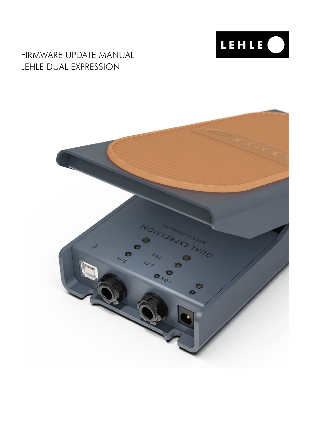

# FIRMWARE UPDATE MANUAL LEHLE DUAL EXPRESSION

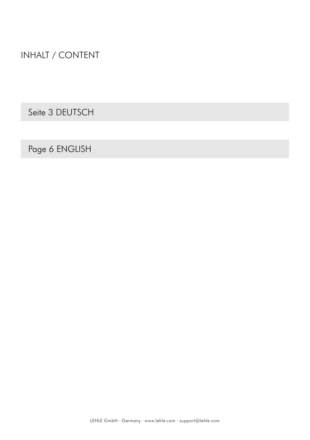INHALT / CONTENT

Seite 3 DEUTSCH

Page 6 ENGLISH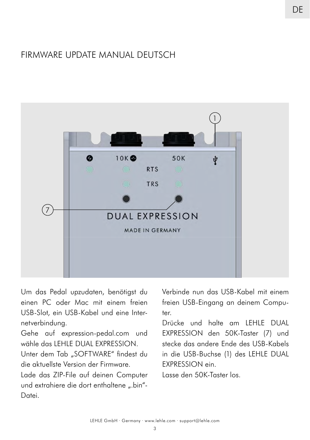## FIRMWARE UPDATE MANUAL DEUTSCH



Um das Pedal upzudaten, benötigst du einen PC oder Mac mit einem freien USB-Slot, ein USB-Kabel und eine Internetverbindung.

Gehe auf expression-pedal.com und wähle das LEHLE DUAL EXPRESSION.

Unter dem Tab "SOFTWARE" findest du die aktuellste Version der Firmware.

Lade das ZIP-File auf deinen Computer und extrahiere die dort enthaltene ".bin"-Datei.

Verbinde nun das USB-Kabel mit einem freien USB-Eingang an deinem Computer.

Drücke und halte am LEHLE DUAL EXPRESSION den 50K-Taster (7) und stecke das andere Ende des USB-Kabels in die USB-Buchse (1) des LEHLE DUAL EXPRESSION ein.

Lasse den 50K-Taster los.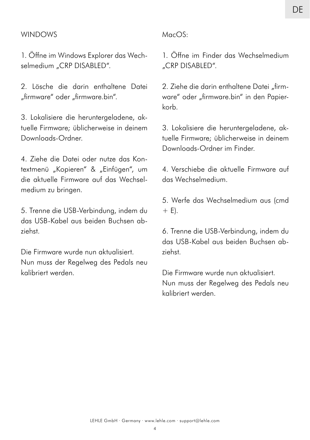#### WINDOWS

1. Öffne im Windows Explorer das Wechselmedium "CRP DISABLED".

2. Lösche die darin enthaltene Datei "firmware" oder "firmware.bin".

3. Lokalisiere die heruntergeladene, aktuelle Firmware; üblicherweise in deinem Downloads-Ordner.

4. Ziehe die Datei oder nutze das Kontextmenü "Kopieren" & "Einfügen", um die aktuelle Firmware auf das Wechselmedium zu bringen.

5. Trenne die USB-Verbindung, indem du das USB-Kabel aus beiden Buchsen abziehst.

Die Firmware wurde nun aktualisiert. Nun muss der Regelweg des Pedals neu kalibriert werden.

#### MacOS:

1. Öffne im Finder das Wechselmedium "CRP DISABLED".

2. Ziehe die darin enthaltene Datei "firmware" oder "firmware.bin" in den Papierkorb.

3. Lokalisiere die heruntergeladene, aktuelle Firmware; üblicherweise in deinem Downloads-Ordner im Finder.

4. Verschiebe die aktuelle Firmware auf das Wechselmedium.

5. Werfe das Wechselmedium aus (cmd  $+$  E).

6. Trenne die USB-Verbindung, indem du das USB-Kabel aus beiden Buchsen abziehst.

Die Firmware wurde nun aktualisiert. Nun muss der Regelweg des Pedals neu kalibriert werden.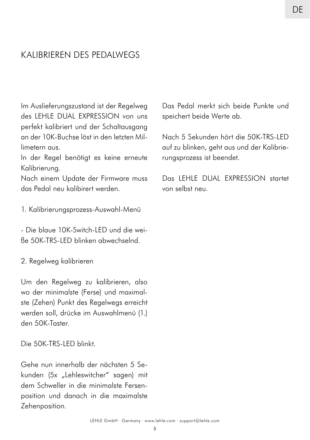## KALIBRIEREN DES PEDALWEGS

Im Auslieferungszustand ist der Regelweg des LEHLE DUAL EXPRESSION von uns perfekt kalibriert und der Schaltausgang an der 10K-Buchse löst in den letzten Millimetern aus.

In der Regel benötigt es keine erneute Kalibrierung.

Nach einem Update der Firmware muss das Pedal neu kalibirert werden.

1. Kalibrierungsprozess-Auswahl-Menü

- Die blaue 10K-Switch-LED und die weiße 50K-TRS-LED blinken abwechselnd.

2. Regelweg kalibrieren

Um den Regelweg zu kalibrieren, also wo der minimalste (Ferse) und maximalste (Zehen) Punkt des Regelwegs erreicht werden soll, drücke im Auswahlmenü (1.) den 50K-Taster.

Die 50K-TRS-LED blinkt.

Gehe nun innerhalb der nächsten 5 Sekunden (5x "Lehleswitcher" sagen) mit dem Schweller in die minimalste Fersenposition und danach in die maximalste Zehenposition.

Das Pedal merkt sich beide Punkte und speichert beide Werte ab.

Nach 5 Sekunden hört die 50K-TRS-LED auf zu blinken, geht aus und der Kalibrierungsprozess ist beendet.

Das LEHLE DUAL EXPRESSION startet von selbst neu.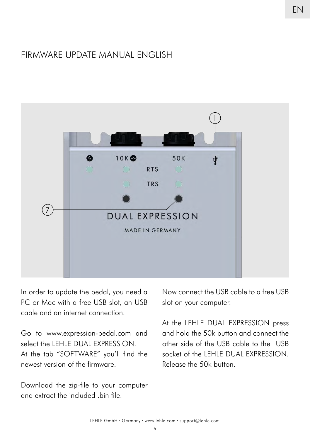## FIRMWARE UPDATE MANUAL ENGLISH



In order to update the pedal, you need a PC or Mac with a free USB slot, an USB cable and an internet connection.

Go to www.expression-pedal.com and select the LEHLE DUAL EXPRESSION. At the tab "SOFTWARE" you'll find the newest version of the firmware.

Download the zip-file to your computer and extract the included .bin file

Now connect the USB cable to a free USB slot on your computer.

At the LEHLE DUAL EXPRESSION press and hold the 50k button and connect the other side of the USB cable to the USB socket of the LEHLE DUAL EXPRESSION. Release the 50k button.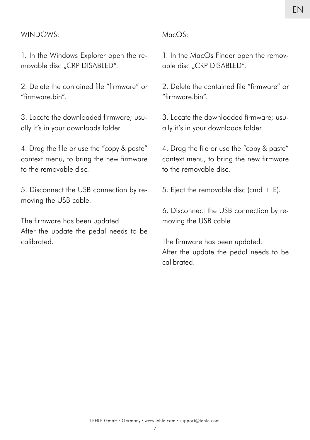#### WINDOWS:

1. In the Windows Explorer open the removable disc "CRP DISABLED".

2. Delete the contained file "firmware" or "firmware.hin"

3. Locate the downloaded firmware; usually it's in your downloads folder.

4. Drag the file or use the "copy & paste" context menu, to bring the new firmware to the removable disc.

5. Disconnect the USB connection by removing the USB cable.

The firmware has been updated. After the update the pedal needs to be calibrated.

#### MacOS:

1. In the MacOs Finder open the removable disc "CRP DISABLED".

2. Delete the contained file "firmware" or "firmware.bin".

3. Locate the downloaded firmware; usually it's in your downloads folder.

4. Drag the file or use the "copy & paste" context menu, to bring the new firmware to the removable disc.

5. Eject the removable disc (cmd  $+$  E).

6. Disconnect the USB connection by removing the USB cable

The firmware has been updated. After the update the pedal needs to be calibrated.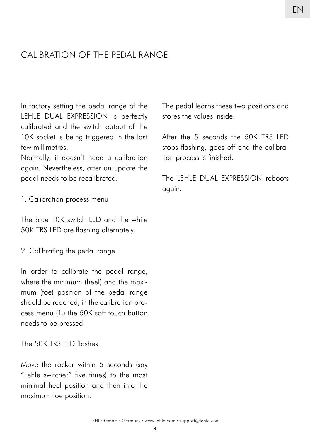## CALIBRATION OF THE PEDAL RANGE

In factory setting the pedal range of the LEHLE DUAL EXPRESSION is perfectly calibrated and the switch output of the 10K socket is being triggered in the last few millimetres.

Normally, it doesn't need a calibration again. Nevertheless, after an update the pedal needs to be recalibrated.

1. Calibration process menu

The blue 10K switch LED and the white 50K TRS LED are flashing alternately.

2. Calibrating the pedal range

In order to calibrate the pedal range, where the minimum (heel) and the maximum (toe) position of the pedal range should be reached, in the calibration process menu (1.) the 50K soft touch button needs to be pressed.

The 50K TRS LED flashes.

Move the rocker within 5 seconds (say "Lehle switcher" five times) to the most minimal heel position and then into the maximum toe position.

The pedal learns these two positions and stores the values inside.

After the 5 seconds the 50K TRS LED stops flashing, goes off and the calibration process is finished.

The LEHLE DUAL EXPRESSION reboots again.